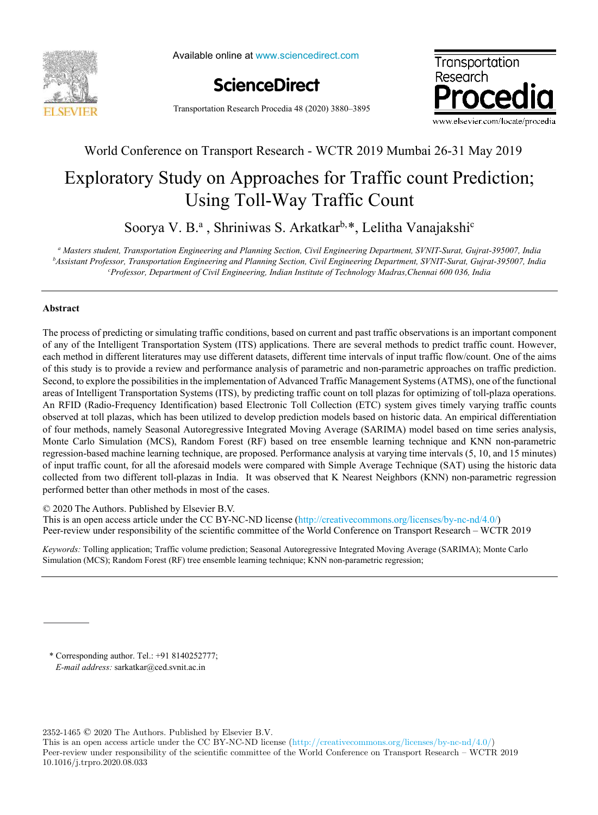

Available online at www.sciencedirect.com





Transportation Research Procedia 48 (2020) 3880–3895

## World Conference on Transport Research - WCTR 2019 Mumbai 26-31 May 2019

# Exploratory Study on Approaches for Traffic count Prediction; Using Toll-Way Traffic Count

Soorya V. B.ª, Shriniwas S. Arkatkar<sup>b,\*</sup>, Lelitha Vanajakshi<sup>c</sup>

*<sup>a</sup> Masters student, Transportation Engineering and Planning Section, Civil Engineering Department, SVNIT-Surat, Gujrat-395007, India <sup>b</sup>Assistant Professor, Transportation Engineering and Planning Section, Civil Engineering Department, SVNIT-Surat, Gujrat-395007, India <sup>c</sup>Professor, Department of Civil Engineering, Indian Institute of Technology Madras,Chennai 600 036, India*

## **Abstract**

The process of predicting or simulating traffic conditions, based on current and past traffic observations is an important component of any of the Intelligent Transportation System (ITS) applications. There are several methods to predict traffic count. However, each method in different literatures may use different datasets, different time intervals of input traffic flow/count. One of the aims of this study is to provide a review and performance analysis of parametric and non-parametric approaches on traffic prediction. Second, to explore the possibilities in the implementation of Advanced Traffic Management Systems (ATMS), one of the functional areas of Intelligent Transportation Systems (ITS), by predicting traffic count on toll plazas for optimizing of toll-plaza operations. An RFID (Radio-Frequency Identification) based Electronic Toll Collection (ETC) system gives timely varying traffic counts observed at toll plazas, which has been utilized to develop prediction models based on historic data. An empirical differentiation of four methods, namely Seasonal Autoregressive Integrated Moving Average (SARIMA) model based on time series analysis, Monte Carlo Simulation (MCS), Random Forest (RF) based on tree ensemble learning technique and KNN non-parametric regression-based machine learning technique, are proposed. Performance analysis at varying time intervals (5, 10, and 15 minutes) of input traffic count, for all the aforesaid models were compared with Simple Average Technique (SAT) using the historic data collected from two different toll-plazas in India. It was observed that K Nearest Neighbors (KNN) non-parametric regression performed better than other methods in most of the cases.

© 2020 The Authors. Published by Elsevier B.V.

This is an open access article under the CC BY-NC-ND license (http://creativecommons.org/licenses/by-nc-nd/4.0/) Peer-review under responsibility of the scientific committee of the World Conference on Transport Research – WCTR 2019

*Keywords:* Tolling application; Traffic volume prediction; Seasonal Autoregressive Integrated Moving Average (SARIMA); Monte Carlo Simulation (MCS); Random Forest (RF) tree ensemble learning technique; KNN non-parametric regression;

\* Corresponding author. Tel.: +91 8140252777; *E-mail address:* sarkatkar@ced.svnit.ac.in

2352-1465 © 2020 The Authors. Published by Elsevier B.V.

This is an open access article under the CC BY-NC-ND license (http://creativecommons.org/licenses/by-nc-nd/4.0/) Peer-review under responsibility of the scientific committee of the World Conference on Transport Research – WCTR 2019 10.1016/j.trpro.2020.08.033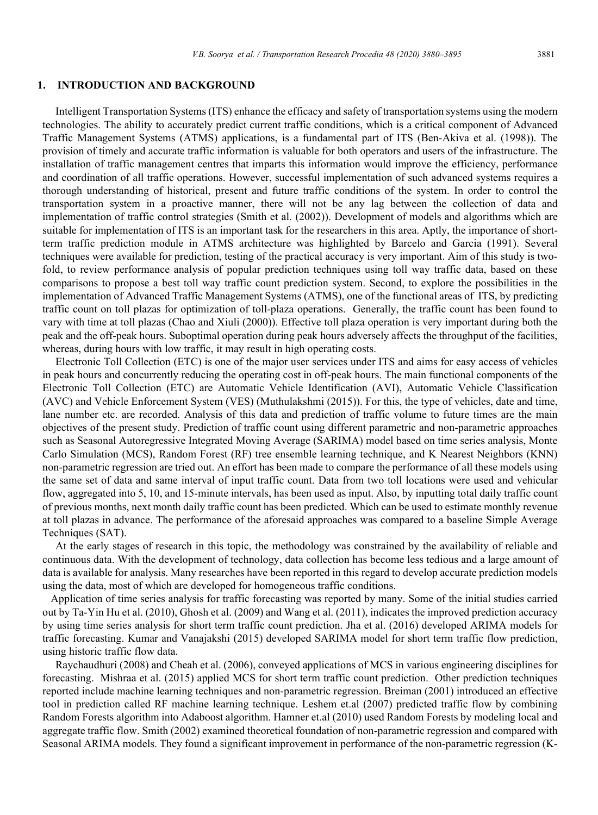## **1. INTRODUCTION AND BACKGROUND**

Intelligent Transportation Systems (ITS) enhance the efficacy and safety of transportation systems using the modern technologies. The ability to accurately predict current traffic conditions, which is a critical component of Advanced Traffic Management Systems (ATMS) applications, is a fundamental part of ITS (Ben-Akiva et al. (1998)). The provision of timely and accurate traffic information is valuable for both operators and users of the infrastructure. The installation of traffic management centres that imparts this information would improve the efficiency, performance and coordination of all traffic operations. However, successful implementation of such advanced systems requires a thorough understanding of historical, present and future traffic conditions of the system. In order to control the transportation system in a proactive manner, there will not be any lag between the collection of data and implementation of traffic control strategies (Smith et al. (2002)). Development of models and algorithms which are suitable for implementation of ITS is an important task for the researchers in this area. Aptly, the importance of shortterm traffic prediction module in ATMS architecture was highlighted by Barcelo and Garcia (1991). Several techniques were available for prediction, testing of the practical accuracy is very important. Aim of this study is twofold, to review performance analysis of popular prediction techniques using toll way traffic data, based on these comparisons to propose a best toll way traffic count prediction system. Second, to explore the possibilities in the implementation of Advanced Traffic Management Systems (ATMS), one of the functional areas of ITS, by predicting traffic count on toll plazas for optimization of toll-plaza operations. Generally, the traffic count has been found to vary with time at toll plazas (Chao and Xiuli (2000)). Effective toll plaza operation is very important during both the peak and the off-peak hours. Suboptimal operation during peak hours adversely affects the throughput of the facilities, whereas, during hours with low traffic, it may result in high operating costs.

Electronic Toll Collection (ETC) is one of the major user services under ITS and aims for easy access of vehicles in peak hours and concurrently reducing the operating cost in off-peak hours. The main functional components of the Electronic Toll Collection (ETC) are Automatic Vehicle Identification (AVI), Automatic Vehicle Classification (AVC) and Vehicle Enforcement System (VES) (Muthulakshmi (2015)). For this, the type of vehicles, date and time, lane number etc. are recorded. Analysis of this data and prediction of traffic volume to future times are the main objectives of the present study. Prediction of traffic count using different parametric and non-parametric approaches such as Seasonal Autoregressive Integrated Moving Average (SARIMA) model based on time series analysis, Monte Carlo Simulation (MCS), Random Forest (RF) tree ensemble learning technique, and K Nearest Neighbors (KNN) non-parametric regression are tried out. An effort has been made to compare the performance of all these models using the same set of data and same interval of input traffic count. Data from two toll locations were used and vehicular flow, aggregated into 5, 10, and 15-minute intervals, has been used as input. Also, by inputting total daily traffic count of previous months, next month daily traffic count has been predicted. Which can be used to estimate monthly revenue at toll plazas in advance. The performance of the aforesaid approaches was compared to a baseline Simple Average Techniques (SAT).

At the early stages of research in this topic, the methodology was constrained by the availability of reliable and continuous data. With the development of technology, data collection has become less tedious and a large amount of data is available for analysis. Many researches have been reported in this regard to develop accurate prediction models using the data, most of which are developed for homogeneous traffic conditions.

 Application of time series analysis for traffic forecasting was reported by many. Some of the initial studies carried out by Ta-Yin Hu et al. (2010), Ghosh et al. (2009) and Wang et al. (2011), indicates the improved prediction accuracy by using time series analysis for short term traffic count prediction. Jha et al. (2016) developed ARIMA models for traffic forecasting. Kumar and Vanajakshi (2015) developed SARIMA model for short term traffic flow prediction, using historic traffic flow data.

Raychaudhuri (2008) and Cheah et al. (2006), conveyed applications of MCS in various engineering disciplines for forecasting. Mishraa et al. (2015) applied MCS for short term traffic count prediction. Other prediction techniques reported include machine learning techniques and non-parametric regression. Breiman (2001) introduced an effective tool in prediction called RF machine learning technique. Leshem et.al (2007) predicted traffic flow by combining Random Forests algorithm into Adaboost algorithm. Hamner et.al (2010) used Random Forests by modeling local and aggregate traffic flow. Smith (2002) examined theoretical foundation of non-parametric regression and compared with Seasonal ARIMA models. They found a significant improvement in performance of the non-parametric regression (K-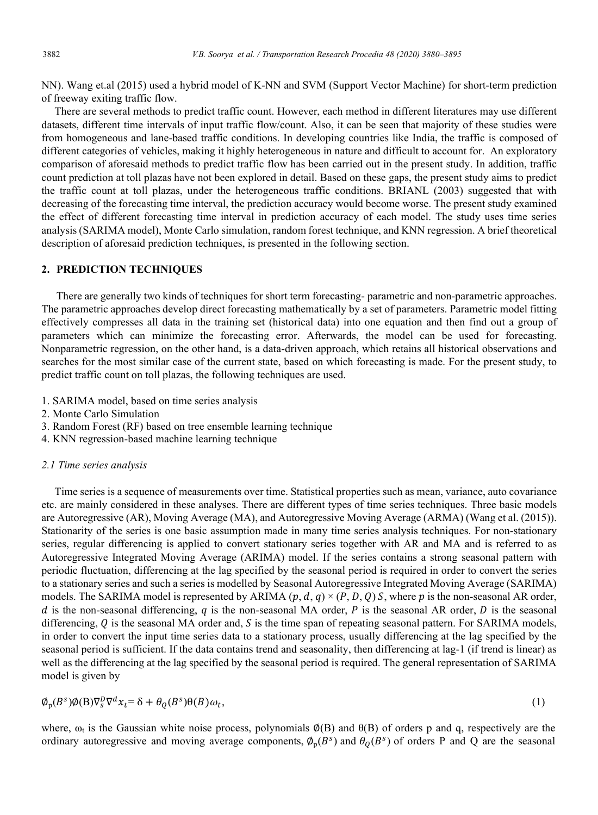NN). Wang et.al (2015) used a hybrid model of K-NN and SVM (Support Vector Machine) for short-term prediction of freeway exiting traffic flow.

There are several methods to predict traffic count. However, each method in different literatures may use different datasets, different time intervals of input traffic flow/count. Also, it can be seen that majority of these studies were from homogeneous and lane-based traffic conditions. In developing countries like India, the traffic is composed of different categories of vehicles, making it highly heterogeneous in nature and difficult to account for. An exploratory comparison of aforesaid methods to predict traffic flow has been carried out in the present study. In addition, traffic count prediction at toll plazas have not been explored in detail. Based on these gaps, the present study aims to predict the traffic count at toll plazas, under the heterogeneous traffic conditions. BRIANL (2003) suggested that with decreasing of the forecasting time interval, the prediction accuracy would become worse. The present study examined the effect of different forecasting time interval in prediction accuracy of each model. The study uses time series analysis (SARIMA model), Monte Carlo simulation, random forest technique, and KNN regression. A brief theoretical description of aforesaid prediction techniques, is presented in the following section.

## **2. PREDICTION TECHNIQUES**

There are generally two kinds of techniques for short term forecasting- parametric and non-parametric approaches. The parametric approaches develop direct forecasting mathematically by a set of parameters. Parametric model fitting effectively compresses all data in the training set (historical data) into one equation and then find out a group of parameters which can minimize the forecasting error. Afterwards, the model can be used for forecasting. Nonparametric regression, on the other hand, is a data-driven approach, which retains all historical observations and searches for the most similar case of the current state, based on which forecasting is made. For the present study, to predict traffic count on toll plazas, the following techniques are used.

- 1. SARIMA model, based on time series analysis
- 2. Monte Carlo Simulation
- 3. Random Forest (RF) based on tree ensemble learning technique
- 4. KNN regression-based machine learning technique

## *2.1 Time series analysis*

Time series is a sequence of measurements over time. Statistical properties such as mean, variance, auto covariance etc. are mainly considered in these analyses. There are different types of time series techniques. Three basic models are Autoregressive (AR), Moving Average (MA), and Autoregressive Moving Average (ARMA) (Wang et al. (2015)). Stationarity of the series is one basic assumption made in many time series analysis techniques. For non-stationary series, regular differencing is applied to convert stationary series together with AR and MA and is referred to as Autoregressive Integrated Moving Average (ARIMA) model. If the series contains a strong seasonal pattern with periodic fluctuation, differencing at the lag specified by the seasonal period is required in order to convert the series to a stationary series and such a series is modelled by Seasonal Autoregressive Integrated Moving Average (SARIMA) models. The SARIMA model is represented by ARIMA  $(p, d, q) \times (P, D, Q)$  S, where p is the non-seasonal AR order, d is the non-seasonal differencing,  $q$  is the non-seasonal MA order,  $P$  is the seasonal AR order,  $D$  is the seasonal differencing,  $Q$  is the seasonal MA order and,  $S$  is the time span of repeating seasonal pattern. For SARIMA models, in order to convert the input time series data to a stationary process, usually differencing at the lag specified by the seasonal period is sufficient. If the data contains trend and seasonality, then differencing at lag-1 (if trend is linear) as well as the differencing at the lag specified by the seasonal period is required. The general representation of SARIMA model is given by

$$
\phi_p(B^s)\phi(B)\nabla_s^D \nabla^d x_t = \delta + \theta_Q(B^s)\theta(B)\omega_t,\tag{1}
$$

where,  $\omega_t$  is the Gaussian white noise process, polynomials  $\phi(B)$  and  $\theta(B)$  of orders p and q, respectively are the ordinary autoregressive and moving average components,  $\phi_p(B^s)$  and  $\theta_q(B^s)$  of orders P and Q are the seasonal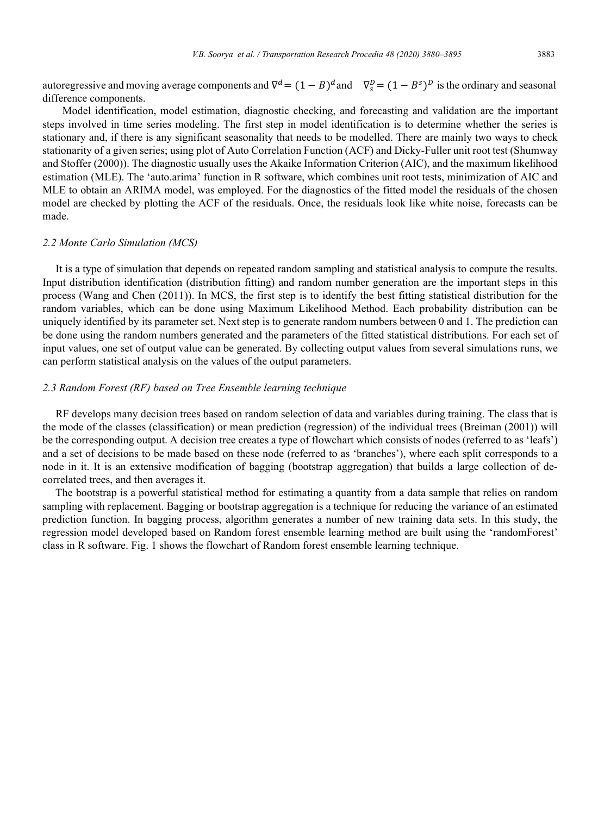autoregressive and moving average components and  $\nabla^a = (1 - B)^a$  and  $\nabla^b = (1 - B^s)^b$  is the ordinary and seasonal difference components.

Model identification, model estimation, diagnostic checking, and forecasting and validation are the important steps involved in time series modeling. The first step in model identification is to determine whether the series is stationary and, if there is any significant seasonality that needs to be modelled. There are mainly two ways to check stationarity of a given series; using plot of Auto Correlation Function (ACF) and Dicky-Fuller unit root test (Shumway and Stoffer (2000)). The diagnostic usually uses the Akaike Information Criterion (AIC), and the maximum likelihood estimation (MLE). The 'auto.arima' function in R software, which combines unit root tests, minimization of AIC and MLE to obtain an ARIMA model, was employed. For the diagnostics of the fitted model the residuals of the chosen model are checked by plotting the ACF of the residuals. Once, the residuals look like white noise, forecasts can be made.

#### *2.2 Monte Carlo Simulation (MCS)*

It is a type of simulation that depends on repeated random sampling and statistical analysis to compute the results. Input distribution identification (distribution fitting) and random number generation are the important steps in this process (Wang and Chen (2011)). In MCS, the first step is to identify the best fitting statistical distribution for the random variables, which can be done using Maximum Likelihood Method. Each probability distribution can be uniquely identified by its parameter set. Next step is to generate random numbers between 0 and 1. The prediction can be done using the random numbers generated and the parameters of the fitted statistical distributions. For each set of input values, one set of output value can be generated. By collecting output values from several simulations runs, we can perform statistical analysis on the values of the output parameters.

## *2.3 Random Forest (RF) based on Tree Ensemble learning technique*

RF develops many decision trees based on random selection of data and variables during training. The class that is the mode of the classes (classification) or mean prediction (regression) of the individual trees (Breiman (2001)) will be the corresponding output. A decision tree creates a type of flowchart which consists of nodes (referred to as 'leafs') and a set of decisions to be made based on these node (referred to as 'branches'), where each split corresponds to a node in it. It is an extensive modification of bagging (bootstrap aggregation) that builds a large collection of decorrelated trees, and then averages it.

The bootstrap is a powerful statistical method for estimating a quantity from a data sample that relies on random sampling with replacement. Bagging or bootstrap aggregation is a technique for reducing the variance of an estimated prediction function. In bagging process, algorithm generates a number of new training data sets. In this study, the regression model developed based on Random forest ensemble learning method are built using the 'randomForest' class in R software. Fig. 1 shows the flowchart of Random forest ensemble learning technique.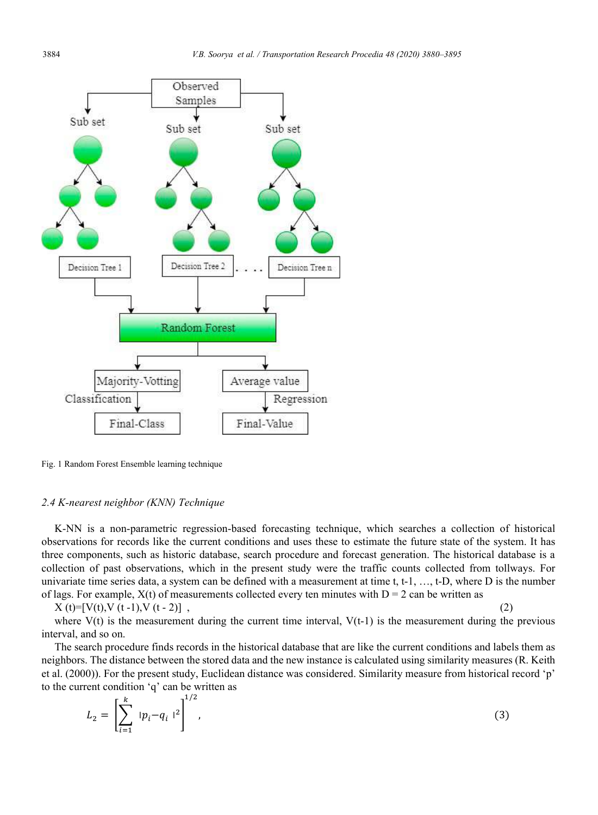

Fig. 1 Random Forest Ensemble learning technique

#### *2.4 K-nearest neighbor (KNN) Technique*

K-NN is a non-parametric regression-based forecasting technique, which searches a collection of historical observations for records like the current conditions and uses these to estimate the future state of the system. It has three components, such as historic database, search procedure and forecast generation. The historical database is a collection of past observations, which in the present study were the traffic counts collected from tollways. For univariate time series data, a system can be defined with a measurement at time t,  $t-1, \ldots, t-D$ , where D is the number of lags. For example,  $X(t)$  of measurements collected every ten minutes with  $D = 2$  can be written as

 $X(t)=[V(t),V(t-1),V(t-2)]$ , (2)

where  $V(t)$  is the measurement during the current time interval,  $V(t-1)$  is the measurement during the previous interval, and so on.

The search procedure finds records in the historical database that are like the current conditions and labels them as neighbors. The distance between the stored data and the new instance is calculated using similarity measures (R. Keith et al. (2000)). For the present study, Euclidean distance was considered. Similarity measure from historical record 'p' to the current condition 'q' can be written as

$$
L_2 = \left[\sum_{i=1}^k |p_i - q_i|^2\right]^{1/2},\tag{3}
$$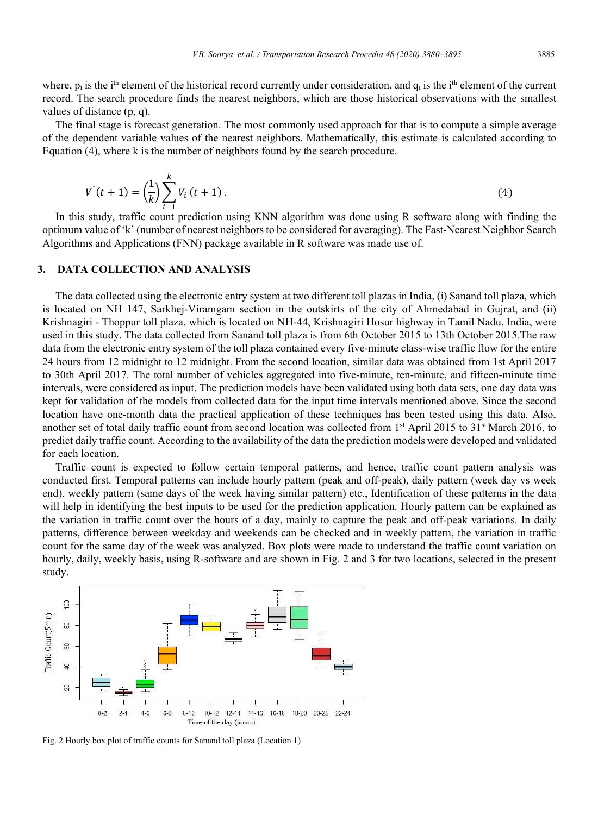where,  $p_i$  is the i<sup>th</sup> element of the historical record currently under consideration, and  $q_i$  is the i<sup>th</sup> element of the current record. The search procedure finds the nearest neighbors, which are those historical observations with the smallest values of distance (p, q).

The final stage is forecast generation. The most commonly used approach for that is to compute a simple average of the dependent variable values of the nearest neighbors. Mathematically, this estimate is calculated according to Equation (4), where k is the number of neighbors found by the search procedure.

$$
V(t+1) = \left(\frac{1}{k}\right) \sum_{i=1}^{k} V_i(t+1).
$$
\n(4)

In this study, traffic count prediction using KNN algorithm was done using R software along with finding the optimum value of 'k' (number of nearest neighbors to be considered for averaging). The Fast-Nearest Neighbor Search Algorithms and Applications (FNN) package available in R software was made use of.

## **3. DATA COLLECTION AND ANALYSIS**

The data collected using the electronic entry system at two different toll plazas in India, (i) Sanand toll plaza, which is located on NH 147, Sarkhej-Viramgam section in the outskirts of the city of Ahmedabad in Gujrat, and (ii) Krishnagiri - Thoppur toll plaza, which is located on NH-44, Krishnagiri Hosur highway in Tamil Nadu, India, were used in this study. The data collected from Sanand toll plaza is from 6th October 2015 to 13th October 2015.The raw data from the electronic entry system of the toll plaza contained every five-minute class-wise traffic flow for the entire 24 hours from 12 midnight to 12 midnight. From the second location, similar data was obtained from 1st April 2017 to 30th April 2017. The total number of vehicles aggregated into five-minute, ten-minute, and fifteen-minute time intervals, were considered as input. The prediction models have been validated using both data sets, one day data was kept for validation of the models from collected data for the input time intervals mentioned above. Since the second location have one-month data the practical application of these techniques has been tested using this data. Also, another set of total daily traffic count from second location was collected from  $1<sup>st</sup>$  April 2015 to 31<sup>st</sup> March 2016, to predict daily traffic count. According to the availability of the data the prediction models were developed and validated for each location.

Traffic count is expected to follow certain temporal patterns, and hence, traffic count pattern analysis was conducted first. Temporal patterns can include hourly pattern (peak and off-peak), daily pattern (week day vs week end), weekly pattern (same days of the week having similar pattern) etc., Identification of these patterns in the data will help in identifying the best inputs to be used for the prediction application. Hourly pattern can be explained as the variation in traffic count over the hours of a day, mainly to capture the peak and off-peak variations. In daily patterns, difference between weekday and weekends can be checked and in weekly pattern, the variation in traffic count for the same day of the week was analyzed. Box plots were made to understand the traffic count variation on hourly, daily, weekly basis, using R-software and are shown in Fig. 2 and 3 for two locations, selected in the present study.



Fig. 2 Hourly box plot of traffic counts for Sanand toll plaza (Location 1)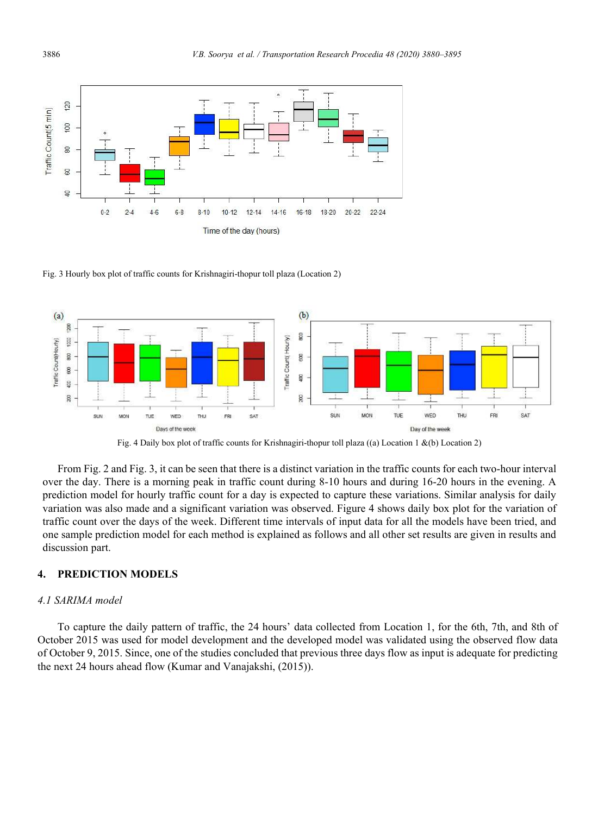

Fig. 3 Hourly box plot of traffic counts for Krishnagiri-thopur toll plaza (Location 2)



Fig. 4 Daily box plot of traffic counts for Krishnagiri-thopur toll plaza ((a) Location 1 &(b) Location 2)

From Fig. 2 and Fig. 3, it can be seen that there is a distinct variation in the traffic counts for each two-hour interval over the day. There is a morning peak in traffic count during 8-10 hours and during 16-20 hours in the evening. A prediction model for hourly traffic count for a day is expected to capture these variations. Similar analysis for daily variation was also made and a significant variation was observed. Figure 4 shows daily box plot for the variation of traffic count over the days of the week. Different time intervals of input data for all the models have been tried, and one sample prediction model for each method is explained as follows and all other set results are given in results and discussion part.

## **4. PREDICTION MODELS**

## *4.1 SARIMA model*

To capture the daily pattern of traffic, the 24 hours' data collected from Location 1, for the 6th, 7th, and 8th of October 2015 was used for model development and the developed model was validated using the observed flow data of October 9, 2015. Since, one of the studies concluded that previous three days flow as input is adequate for predicting the next 24 hours ahead flow (Kumar and Vanajakshi, (2015)).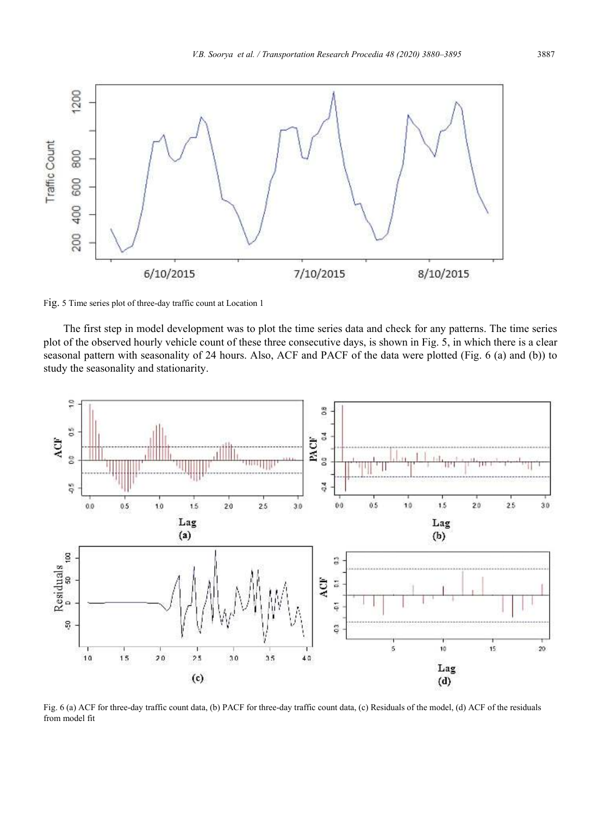

Fig. 5 Time series plot of three-day traffic count at Location 1

The first step in model development was to plot the time series data and check for any patterns. The time series plot of the observed hourly vehicle count of these three consecutive days, is shown in Fig. 5, in which there is a clear seasonal pattern with seasonality of 24 hours. Also, ACF and PACF of the data were plotted (Fig. 6 (a) and (b)) to study the seasonality and stationarity.



Fig. 6 (a) ACF for three-day traffic count data, (b) PACF for three-day traffic count data, (c) Residuals of the model, (d) ACF of the residuals from model fit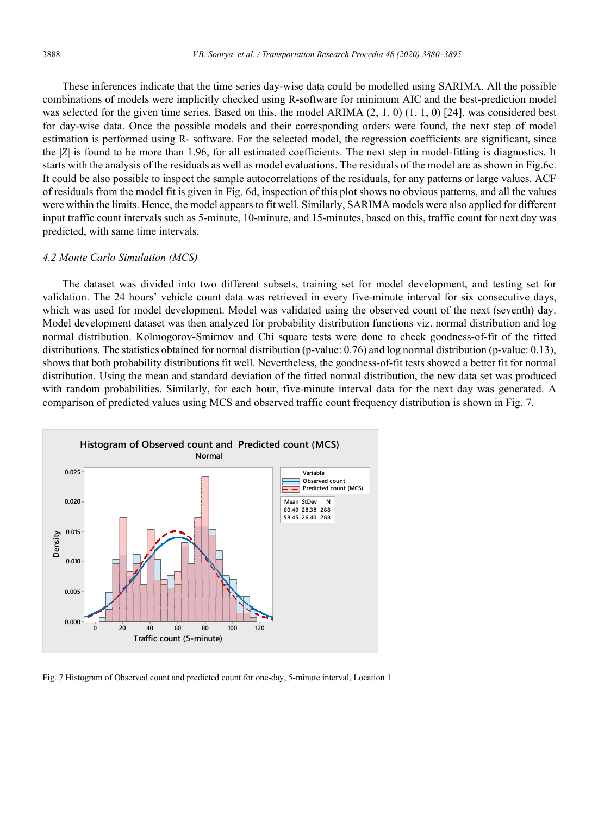These inferences indicate that the time series day-wise data could be modelled using SARIMA. All the possible combinations of models were implicitly checked using R-software for minimum AIC and the best-prediction model was selected for the given time series. Based on this, the model ARIMA  $(2, 1, 0)$   $(1, 1, 0)$  [24], was considered best for day-wise data. Once the possible models and their corresponding orders were found, the next step of model estimation is performed using R- software. For the selected model, the regression coefficients are significant, since the |Z| is found to be more than 1.96, for all estimated coefficients. The next step in model-fitting is diagnostics. It starts with the analysis of the residuals as well as model evaluations. The residuals of the model are as shown in Fig.6c. It could be also possible to inspect the sample autocorrelations of the residuals, for any patterns or large values. ACF of residuals from the model fit is given in Fig. 6d, inspection of this plot shows no obvious patterns, and all the values were within the limits. Hence, the model appears to fit well. Similarly, SARIMA models were also applied for different input traffic count intervals such as 5-minute, 10-minute, and 15-minutes, based on this, traffic count for next day was predicted, with same time intervals.

## *4.2 Monte Carlo Simulation (MCS)*

The dataset was divided into two different subsets, training set for model development, and testing set for validation. The 24 hours' vehicle count data was retrieved in every five-minute interval for six consecutive days, which was used for model development. Model was validated using the observed count of the next (seventh) day. Model development dataset was then analyzed for probability distribution functions viz. normal distribution and log normal distribution. Kolmogorov-Smirnov and Chi square tests were done to check goodness-of-fit of the fitted distributions. The statistics obtained for normal distribution (p-value: 0.76) and log normal distribution (p-value: 0.13), shows that both probability distributions fit well. Nevertheless, the goodness-of-fit tests showed a better fit for normal distribution. Using the mean and standard deviation of the fitted normal distribution, the new data set was produced with random probabilities. Similarly, for each hour, five-minute interval data for the next day was generated. A comparison of predicted values using MCS and observed traffic count frequency distribution is shown in Fig. 7.



Fig. 7 Histogram of Observed count and predicted count for one-day, 5-minute interval, Location 1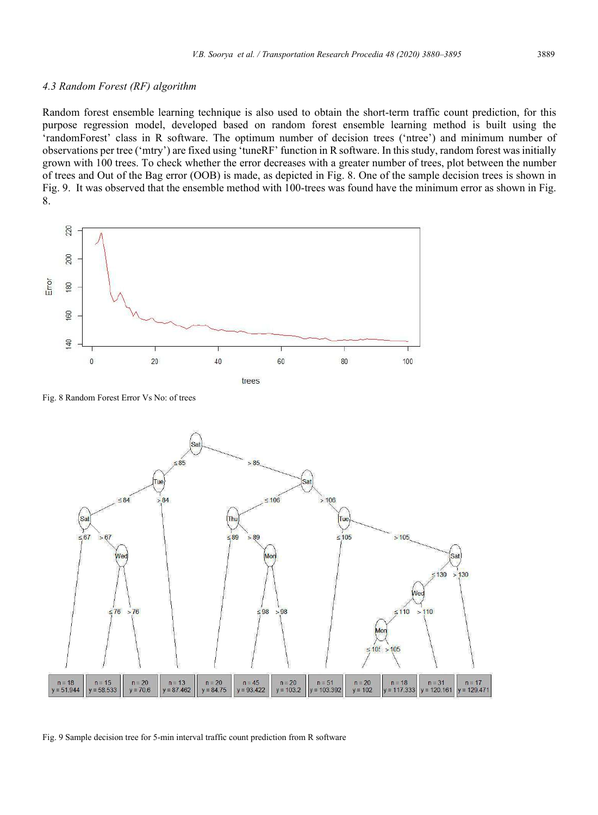## *4.3 Random Forest (RF) algorithm*

Random forest ensemble learning technique is also used to obtain the short-term traffic count prediction, for this purpose regression model, developed based on random forest ensemble learning method is built using the 'randomForest' class in R software. The optimum number of decision trees ('ntree') and minimum number of observations per tree ('mtry') are fixed using 'tuneRF' function in R software. In this study, random forest was initially grown with 100 trees. To check whether the error decreases with a greater number of trees, plot between the number of trees and Out of the Bag error (OOB) is made, as depicted in Fig. 8. One of the sample decision trees is shown in Fig. 9. It was observed that the ensemble method with 100-trees was found have the minimum error as shown in Fig. 8.



Fig. 8 Random Forest Error Vs No: of trees



Fig. 9 Sample decision tree for 5-min interval traffic count prediction from R software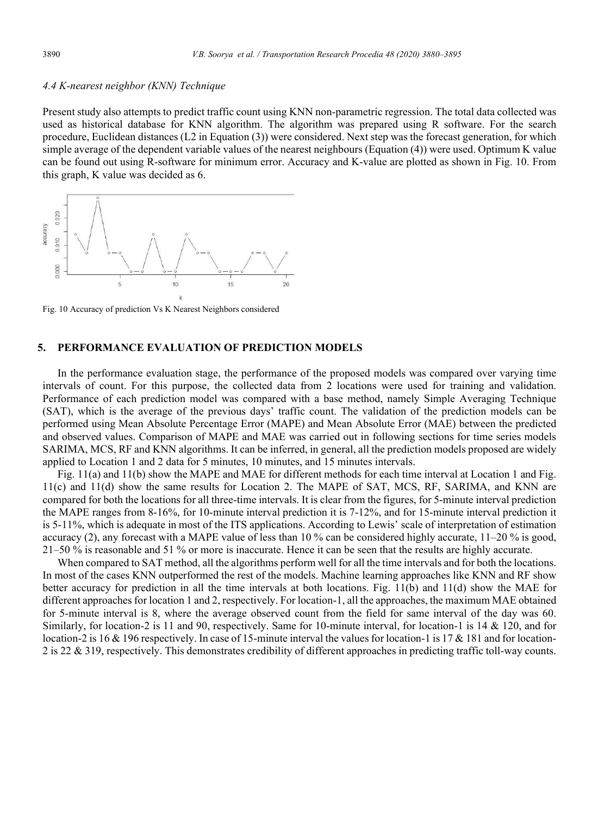#### *4.4 K-nearest neighbor (KNN) Technique*

Present study also attempts to predict traffic count using KNN non-parametric regression. The total data collected was used as historical database for KNN algorithm. The algorithm was prepared using R software. For the search procedure, Euclidean distances (L2 in Equation (3)) were considered. Next step was the forecast generation, for which simple average of the dependent variable values of the nearest neighbours (Equation (4)) were used. Optimum K value can be found out using R-software for minimum error. Accuracy and K-value are plotted as shown in Fig. 10. From this graph, K value was decided as 6.



Fig. 10 Accuracy of prediction Vs K Nearest Neighbors considered

## **5. PERFORMANCE EVALUATION OF PREDICTION MODELS**

In the performance evaluation stage, the performance of the proposed models was compared over varying time intervals of count. For this purpose, the collected data from 2 locations were used for training and validation. Performance of each prediction model was compared with a base method, namely Simple Averaging Technique (SAT), which is the average of the previous days' traffic count. The validation of the prediction models can be performed using Mean Absolute Percentage Error (MAPE) and Mean Absolute Error (MAE) between the predicted and observed values. Comparison of MAPE and MAE was carried out in following sections for time series models SARIMA, MCS, RF and KNN algorithms. It can be inferred, in general, all the prediction models proposed are widely applied to Location 1 and 2 data for 5 minutes, 10 minutes, and 15 minutes intervals.

Fig. 11(a) and 11(b) show the MAPE and MAE for different methods for each time interval at Location 1 and Fig. 11(c) and 11(d) show the same results for Location 2. The MAPE of SAT, MCS, RF, SARIMA, and KNN are compared for both the locations for all three-time intervals. It is clear from the figures, for 5-minute interval prediction the MAPE ranges from 8-16%, for 10-minute interval prediction it is 7-12%, and for 15-minute interval prediction it is 5-11%, which is adequate in most of the ITS applications. According to Lewis' scale of interpretation of estimation accuracy (2), any forecast with a MAPE value of less than 10 % can be considered highly accurate,  $11-20$  % is good, 21–50 % is reasonable and 51 % or more is inaccurate. Hence it can be seen that the results are highly accurate.

When compared to SAT method, all the algorithms perform well for all the time intervals and for both the locations. In most of the cases KNN outperformed the rest of the models. Machine learning approaches like KNN and RF show better accuracy for prediction in all the time intervals at both locations. Fig. 11(b) and 11(d) show the MAE for different approaches for location 1 and 2, respectively. For location-1, all the approaches, the maximum MAE obtained for 5-minute interval is 8, where the average observed count from the field for same interval of the day was 60. Similarly, for location-2 is 11 and 90, respectively. Same for 10-minute interval, for location-1 is 14 & 120, and for location-2 is 16 & 196 respectively. In case of 15-minute interval the values for location-1 is 17 & 181 and for location-2 is 22 & 319, respectively. This demonstrates credibility of different approaches in predicting traffic toll-way counts.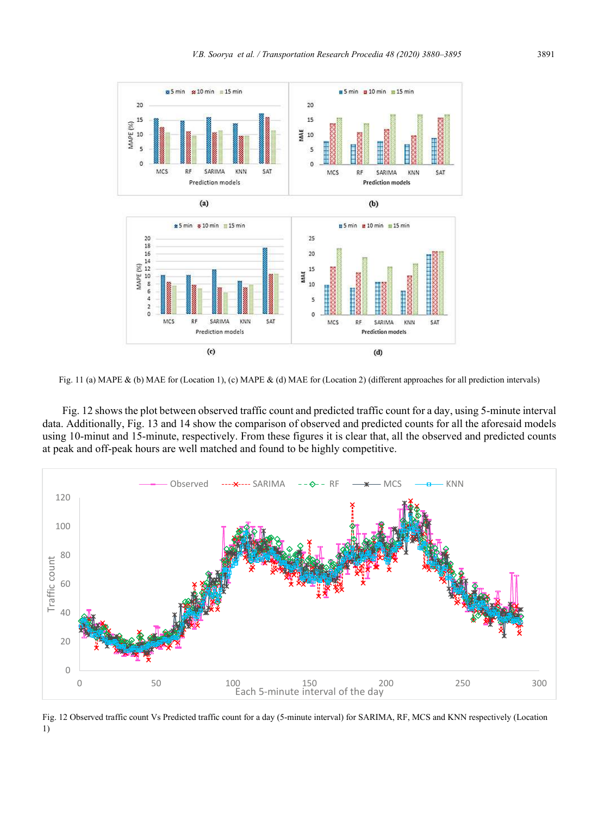

Fig. 11 (a) MAPE & (b) MAE for (Location 1), (c) MAPE & (d) MAE for (Location 2) (different approaches for all prediction intervals)

Fig. 12 shows the plot between observed traffic count and predicted traffic count for a day, using 5-minute interval data. Additionally, Fig. 13 and 14 show the comparison of observed and predicted counts for all the aforesaid models using 10-minut and 15-minute, respectively. From these figures it is clear that, all the observed and predicted counts at peak and off-peak hours are well matched and found to be highly competitive.



Fig. 12 Observed traffic count Vs Predicted traffic count for a day (5-minute interval) for SARIMA, RF, MCS and KNN respectively (Location 1)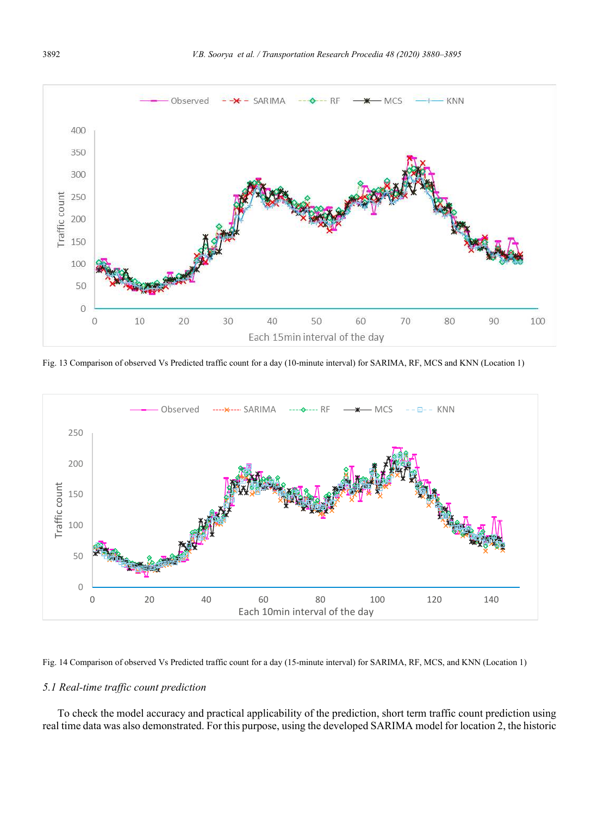

Fig. 13 Comparison of observed Vs Predicted traffic count for a day (10-minute interval) for SARIMA, RF, MCS and KNN (Location 1)



Fig. 14 Comparison of observed Vs Predicted traffic count for a day (15-minute interval) for SARIMA, RF, MCS, and KNN (Location 1)

## *5.1 Real-time traffic count prediction*

To check the model accuracy and practical applicability of the prediction, short term traffic count prediction using real time data was also demonstrated. For this purpose, using the developed SARIMA model for location 2, the historic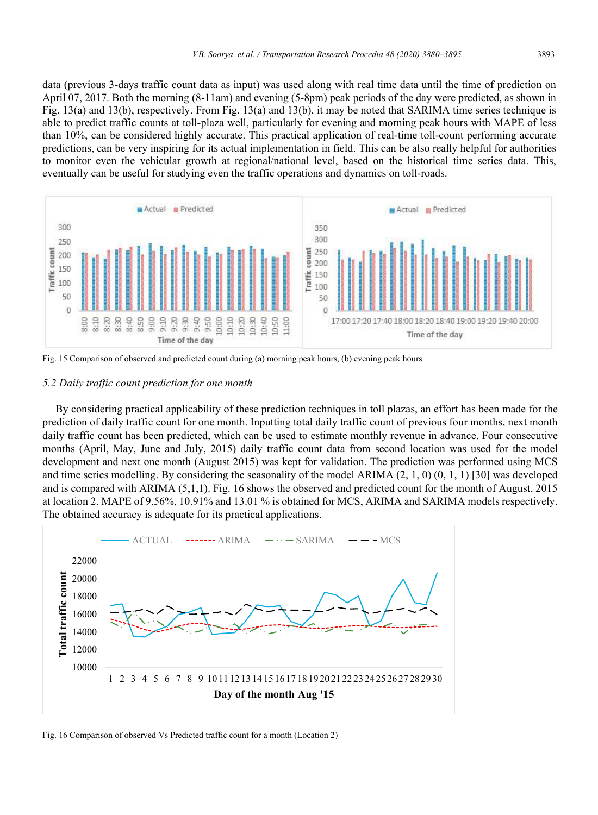data (previous 3-days traffic count data as input) was used along with real time data until the time of prediction on April 07, 2017. Both the morning (8-11am) and evening (5-8pm) peak periods of the day were predicted, as shown in Fig. 13(a) and 13(b), respectively. From Fig. 13(a) and 13(b), it may be noted that SARIMA time series technique is able to predict traffic counts at toll-plaza well, particularly for evening and morning peak hours with MAPE of less than 10%, can be considered highly accurate. This practical application of real-time toll-count performing accurate predictions, can be very inspiring for its actual implementation in field. This can be also really helpful for authorities to monitor even the vehicular growth at regional/national level, based on the historical time series data. This, eventually can be useful for studying even the traffic operations and dynamics on toll-roads.



Fig. 15 Comparison of observed and predicted count during (a) morning peak hours, (b) evening peak hours

## *5.2 Daily traffic count prediction for one month*

By considering practical applicability of these prediction techniques in toll plazas, an effort has been made for the prediction of daily traffic count for one month. Inputting total daily traffic count of previous four months, next month daily traffic count has been predicted, which can be used to estimate monthly revenue in advance. Four consecutive months (April, May, June and July, 2015) daily traffic count data from second location was used for the model development and next one month (August 2015) was kept for validation. The prediction was performed using MCS and time series modelling. By considering the seasonality of the model ARIMA  $(2, 1, 0)$   $(0, 1, 1)$  [30] was developed and is compared with ARIMA (5,1,1). Fig. 16 shows the observed and predicted count for the month of August, 2015 at location 2. MAPE of 9.56%, 10.91% and 13.01 % is obtained for MCS, ARIMA and SARIMA models respectively. The obtained accuracy is adequate for its practical applications.



Fig. 16 Comparison of observed Vs Predicted traffic count for a month (Location 2)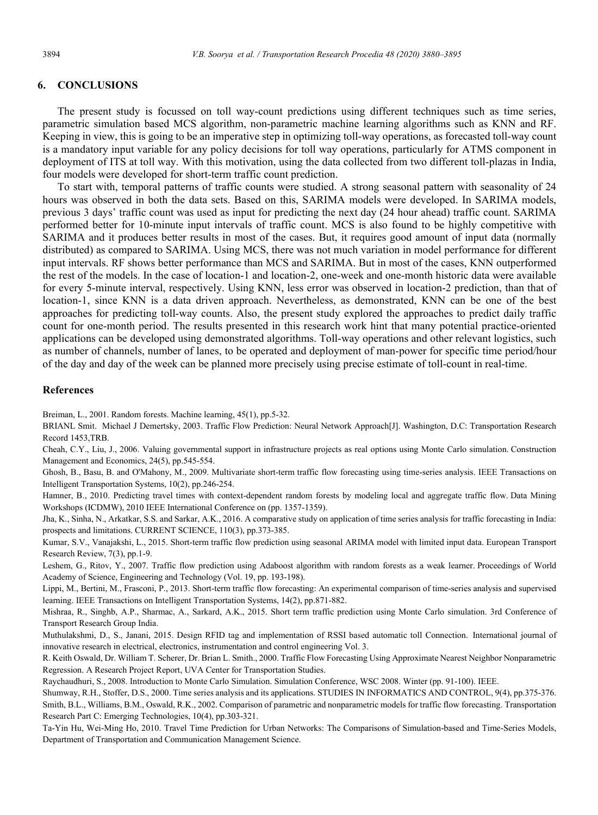## **6. CONCLUSIONS**

The present study is focussed on toll way-count predictions using different techniques such as time series, parametric simulation based MCS algorithm, non-parametric machine learning algorithms such as KNN and RF. Keeping in view, this is going to be an imperative step in optimizing toll-way operations, as forecasted toll-way count is a mandatory input variable for any policy decisions for toll way operations, particularly for ATMS component in deployment of ITS at toll way. With this motivation, using the data collected from two different toll-plazas in India, four models were developed for short-term traffic count prediction.

To start with, temporal patterns of traffic counts were studied. A strong seasonal pattern with seasonality of 24 hours was observed in both the data sets. Based on this, SARIMA models were developed. In SARIMA models, previous 3 days' traffic count was used as input for predicting the next day (24 hour ahead) traffic count. SARIMA performed better for 10-minute input intervals of traffic count. MCS is also found to be highly competitive with SARIMA and it produces better results in most of the cases. But, it requires good amount of input data (normally distributed) as compared to SARIMA. Using MCS, there was not much variation in model performance for different input intervals. RF shows better performance than MCS and SARIMA. But in most of the cases, KNN outperformed the rest of the models. In the case of location-1 and location-2, one-week and one-month historic data were available for every 5-minute interval, respectively. Using KNN, less error was observed in location-2 prediction, than that of location-1, since KNN is a data driven approach. Nevertheless, as demonstrated, KNN can be one of the best approaches for predicting toll-way counts. Also, the present study explored the approaches to predict daily traffic count for one-month period. The results presented in this research work hint that many potential practice-oriented applications can be developed using demonstrated algorithms. Toll-way operations and other relevant logistics, such as number of channels, number of lanes, to be operated and deployment of man-power for specific time period/hour of the day and day of the week can be planned more precisely using precise estimate of toll-count in real-time.

## **References**

Breiman, L., 2001. Random forests. Machine learning, 45(1), pp.5-32.

BRIANL Smit. Michael J Demertsky, 2003. Traffic Flow Prediction: Neural Network Approach[J]. Washington, D.C: Transportation Research Record 1453,TRB.

Cheah, C.Y., Liu, J., 2006. Valuing governmental support in infrastructure projects as real options using Monte Carlo simulation. Construction Management and Economics, 24(5), pp.545-554.

Ghosh, B., Basu, B. and O'Mahony, M., 2009. Multivariate short-term traffic flow forecasting using time-series analysis. IEEE Transactions on Intelligent Transportation Systems, 10(2), pp.246-254.

Hamner, B., 2010. Predicting travel times with context-dependent random forests by modeling local and aggregate traffic flow. Data Mining Workshops (ICDMW), 2010 IEEE International Conference on (pp. 1357-1359).

Jha, K., Sinha, N., Arkatkar, S.S. and Sarkar, A.K., 2016. A comparative study on application of time series analysis for traffic forecasting in India: prospects and limitations. CURRENT SCIENCE, 110(3), pp.373-385.

Kumar, S.V., Vanajakshi, L., 2015. Short-term traffic flow prediction using seasonal ARIMA model with limited input data. European Transport Research Review, 7(3), pp.1-9.

Leshem, G., Ritov, Y., 2007. Traffic flow prediction using Adaboost algorithm with random forests as a weak learner. Proceedings of World Academy of Science, Engineering and Technology (Vol. 19, pp. 193-198).

Lippi, M., Bertini, M., Frasconi, P., 2013. Short-term traffic flow forecasting: An experimental comparison of time-series analysis and supervised learning. IEEE Transactions on Intelligent Transportation Systems, 14(2), pp.871-882.

Mishraa, R., Singhb, A.P., Sharmac, A., Sarkard, A.K., 2015. Short term traffic prediction using Monte Carlo simulation. 3rd Conference of Transport Research Group India.

Muthulakshmi, D., S., Janani, 2015. Design RFID tag and implementation of RSSI based automatic toll Connection. International journal of innovative research in electrical, electronics, instrumentation and control engineering Vol. 3.

R. Keith Oswald, Dr. William T. Scherer, Dr. Brian L. Smith., 2000. Traffic Flow Forecasting Using Approximate Nearest Neighbor Nonparametric Regression. A Research Project Report, UVA Center for Transportation Studies.

Raychaudhuri, S., 2008. Introduction to Monte Carlo Simulation. Simulation Conference, WSC 2008. Winter (pp. 91-100). IEEE.

Shumway, R.H., Stoffer, D.S., 2000. Time series analysis and its applications. STUDIES IN INFORMATICS AND CONTROL, 9(4), pp.375-376. Smith, B.L., Williams, B.M., Oswald, R.K., 2002. Comparison of parametric and nonparametric models for traffic flow forecasting. Transportation Research Part C: Emerging Technologies, 10(4), pp.303-321.

Ta-Yin Hu, Wei-Ming Ho, 2010. Travel Time Prediction for Urban Networks: The Comparisons of Simulation-based and Time-Series Models, Department of Transportation and Communication Management Science.